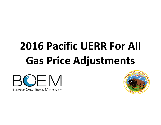# **2016 Pacific UERR For All Gas Price Adjustments**